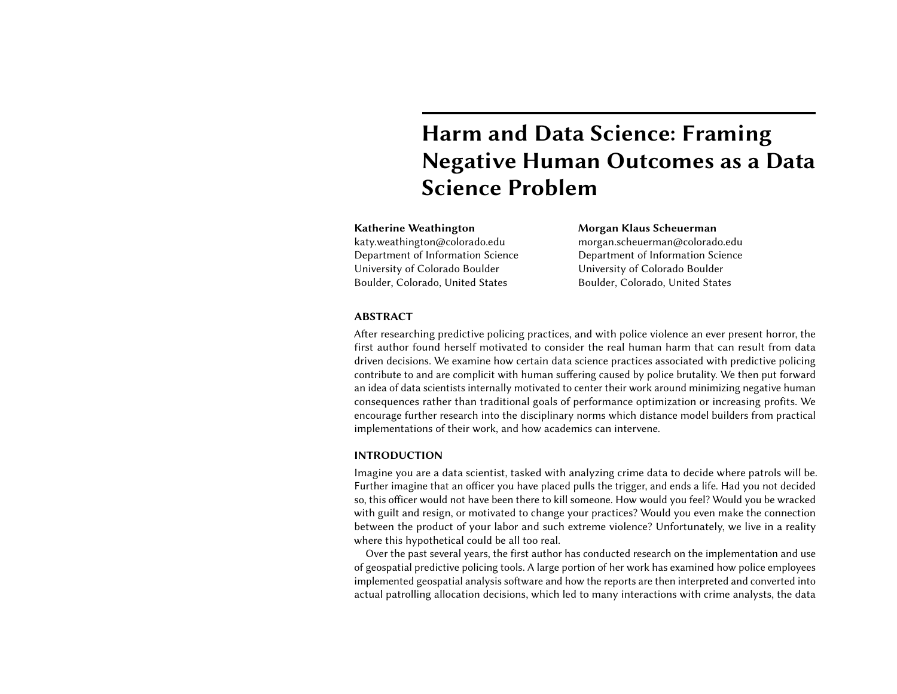# Harm and Data Science: Framing Negative Human Outcomes as a Data Science Problem

# Katherine Weathington

katy.weathington@colorado.edu Department of Information Science University of Colorado Boulder Boulder, Colorado, United States

# Morgan Klaus Scheuerman

morgan.scheuerman@colorado.edu Department of Information Science University of Colorado Boulder Boulder, Colorado, United States

# ABSTRACT

After researching predictive policing practices, and with police violence an ever present horror, the first author found herself motivated to consider the real human harm that can result from data driven decisions. We examine how certain data science practices associated with predictive policing contribute to and are complicit with human suffering caused by police brutality. We then put forward an idea of data scientists internally motivated to center their work around minimizing negative human consequences rather than traditional goals of performance optimization or increasing profits. We encourage further research into the disciplinary norms which distance model builders from practical implementations of their work, and how academics can intervene.

#### INTRODUCTION

Imagine you are a data scientist, tasked with analyzing crime data to decide where patrols will be. Further imagine that an officer you have placed pulls the trigger, and ends a life. Had you not decided so, this officer would not have been there to kill someone. How would you feel? Would you be wracked with guilt and resign, or motivated to change your practices? Would you even make the connection between the product of your labor and such extreme violence? Unfortunately, we live in a reality where this hypothetical could be all too real.

Over the past several years, the first author has conducted research on the implementation and use of geospatial predictive policing tools. A large portion of her work has examined how police employees implemented geospatial analysis software and how the reports are then interpreted and converted into actual patrolling allocation decisions, which led to many interactions with crime analysts, the data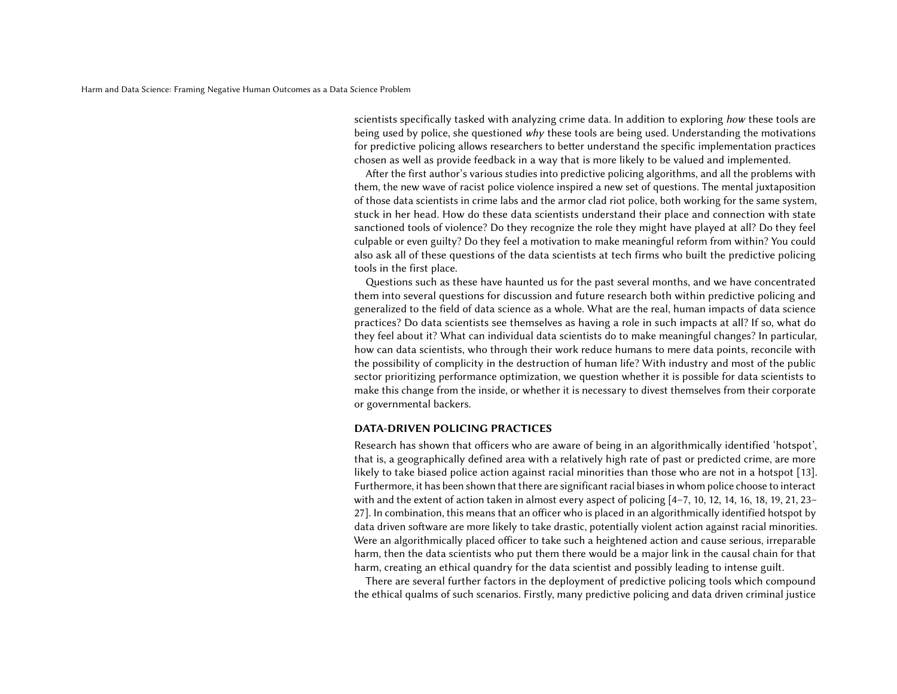scientists specifically tasked with analyzing crime data. In addition to exploring how these tools are being used by police, she questioned why these tools are being used. Understanding the motivations for predictive policing allows researchers to better understand the specific implementation practices chosen as well as provide feedback in a way that is more likely to be valued and implemented.

After the first author's various studies into predictive policing algorithms, and all the problems with them, the new wave of racist police violence inspired a new set of questions. The mental juxtaposition of those data scientists in crime labs and the armor clad riot police, both working for the same system, stuck in her head. How do these data scientists understand their place and connection with state sanctioned tools of violence? Do they recognize the role they might have played at all? Do they feel culpable or even guilty? Do they feel a motivation to make meaningful reform from within? You could also ask all of these questions of the data scientists at tech firms who built the predictive policing tools in the first place.

Questions such as these have haunted us for the past several months, and we have concentrated them into several questions for discussion and future research both within predictive policing and generalized to the field of data science as a whole. What are the real, human impacts of data science practices? Do data scientists see themselves as having a role in such impacts at all? If so, what do they feel about it? What can individual data scientists do to make meaningful changes? In particular, how can data scientists, who through their work reduce humans to mere data points, reconcile with the possibility of complicity in the destruction of human life? With industry and most of the public sector prioritizing performance optimization, we question whether it is possible for data scientists to make this change from the inside, or whether it is necessary to divest themselves from their corporate or governmental backers.

#### DATA-DRIVEN POLICING PRACTICES

Research has shown that officers who are aware of being in an algorithmically identified 'hotspot', that is, a geographically defined area with a relatively high rate of past or predicted crime, are more likely to take biased police action against racial minorities than those who are not in a hotspot [\[13\]](#page-4-0). Furthermore, it has been shown that there are significant racial biases in whom police choose to interact with and the extent of action taken in almost every aspect of policing [\[4–](#page-4-1)[7,](#page-4-2) [10,](#page-4-3) [12,](#page-4-4) [14,](#page-4-5) [16,](#page-4-6) [18,](#page-4-7) [19,](#page-4-8) [21,](#page-5-0) [23–](#page-5-1) [27\]](#page-5-2). In combination, this means that an officer who is placed in an algorithmically identified hotspot by data driven software are more likely to take drastic, potentially violent action against racial minorities. Were an algorithmically placed officer to take such a heightened action and cause serious, irreparable harm, then the data scientists who put them there would be a major link in the causal chain for that harm, creating an ethical quandry for the data scientist and possibly leading to intense guilt.

There are several further factors in the deployment of predictive policing tools which compound the ethical qualms of such scenarios. Firstly, many predictive policing and data driven criminal justice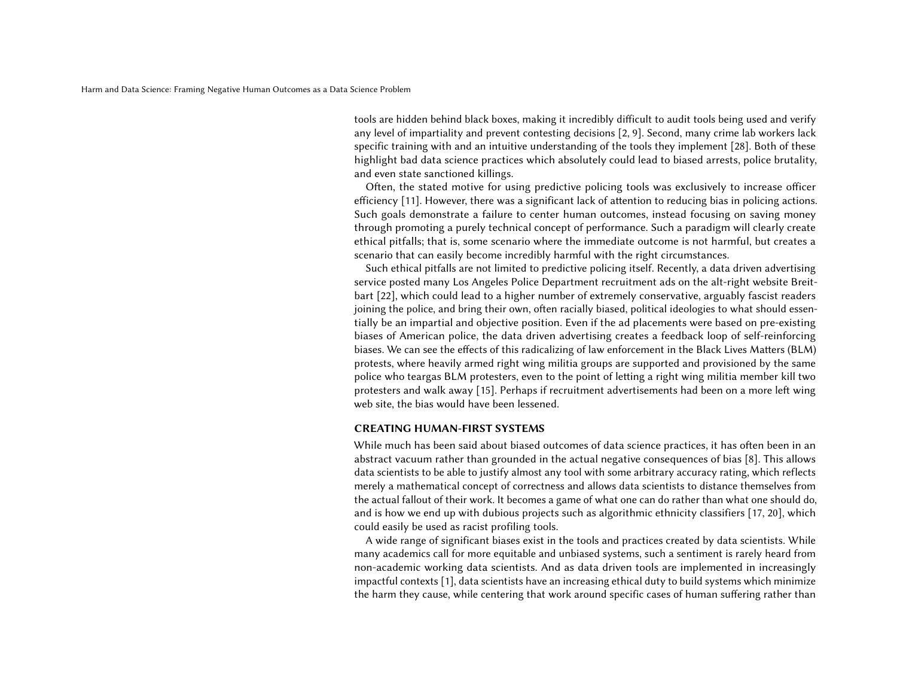tools are hidden behind black boxes, making it incredibly difficult to audit tools being used and verify any level of impartiality and prevent contesting decisions [\[2,](#page-4-9) [9\]](#page-4-10). Second, many crime lab workers lack specific training with and an intuitive understanding of the tools they implement [\[28\]](#page-5-3). Both of these highlight bad data science practices which absolutely could lead to biased arrests, police brutality, and even state sanctioned killings.

Often, the stated motive for using predictive policing tools was exclusively to increase officer efficiency [\[11\]](#page-4-11). However, there was a significant lack of attention to reducing bias in policing actions. Such goals demonstrate a failure to center human outcomes, instead focusing on saving money through promoting a purely technical concept of performance. Such a paradigm will clearly create ethical pitfalls; that is, some scenario where the immediate outcome is not harmful, but creates a scenario that can easily become incredibly harmful with the right circumstances.

Such ethical pitfalls are not limited to predictive policing itself. Recently, a data driven advertising service posted many Los Angeles Police Department recruitment ads on the alt-right website Breitbart [\[22\]](#page-5-4), which could lead to a higher number of extremely conservative, arguably fascist readers joining the police, and bring their own, often racially biased, political ideologies to what should essentially be an impartial and objective position. Even if the ad placements were based on pre-existing biases of American police, the data driven advertising creates a feedback loop of self-reinforcing biases. We can see the effects of this radicalizing of law enforcement in the Black Lives Matters (BLM) protests, where heavily armed right wing militia groups are supported and provisioned by the same police who teargas BLM protesters, even to the point of letting a right wing militia member kill two protesters and walk away [\[15\]](#page-4-12). Perhaps if recruitment advertisements had been on a more left wing web site, the bias would have been lessened.

#### CREATING HUMAN-FIRST SYSTEMS

While much has been said about biased outcomes of data science practices, it has often been in an abstract vacuum rather than grounded in the actual negative consequences of bias [\[8\]](#page-4-13). This allows data scientists to be able to justify almost any tool with some arbitrary accuracy rating, which reflects merely a mathematical concept of correctness and allows data scientists to distance themselves from the actual fallout of their work. It becomes a game of what one can do rather than what one should do, and is how we end up with dubious projects such as algorithmic ethnicity classifiers [\[17,](#page-4-14) [20\]](#page-4-15), which could easily be used as racist profiling tools.

A wide range of significant biases exist in the tools and practices created by data scientists. While many academics call for more equitable and unbiased systems, such a sentiment is rarely heard from non-academic working data scientists. And as data driven tools are implemented in increasingly impactful contexts [\[1\]](#page-4-16), data scientists have an increasing ethical duty to build systems which minimize the harm they cause, while centering that work around specific cases of human suffering rather than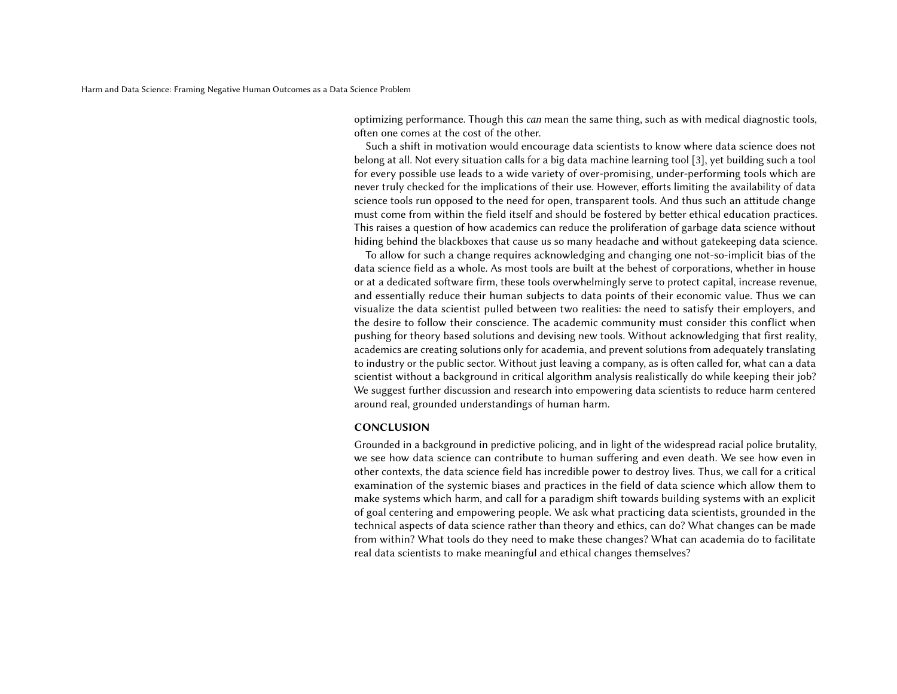optimizing performance. Though this can mean the same thing, such as with medical diagnostic tools, often one comes at the cost of the other.

Such a shift in motivation would encourage data scientists to know where data science does not belong at all. Not every situation calls for a big data machine learning tool [\[3\]](#page-4-17), yet building such a tool for every possible use leads to a wide variety of over-promising, under-performing tools which are never truly checked for the implications of their use. However, efforts limiting the availability of data science tools run opposed to the need for open, transparent tools. And thus such an attitude change must come from within the field itself and should be fostered by better ethical education practices. This raises a question of how academics can reduce the proliferation of garbage data science without hiding behind the blackboxes that cause us so many headache and without gatekeeping data science.

To allow for such a change requires acknowledging and changing one not-so-implicit bias of the data science field as a whole. As most tools are built at the behest of corporations, whether in house or at a dedicated software firm, these tools overwhelmingly serve to protect capital, increase revenue, and essentially reduce their human subjects to data points of their economic value. Thus we can visualize the data scientist pulled between two realities: the need to satisfy their employers, and the desire to follow their conscience. The academic community must consider this conflict when pushing for theory based solutions and devising new tools. Without acknowledging that first reality, academics are creating solutions only for academia, and prevent solutions from adequately translating to industry or the public sector. Without just leaving a company, as is often called for, what can a data scientist without a background in critical algorithm analysis realistically do while keeping their job? We suggest further discussion and research into empowering data scientists to reduce harm centered around real, grounded understandings of human harm.

# **CONCLUSION**

Grounded in a background in predictive policing, and in light of the widespread racial police brutality, we see how data science can contribute to human suffering and even death. We see how even in other contexts, the data science field has incredible power to destroy lives. Thus, we call for a critical examination of the systemic biases and practices in the field of data science which allow them to make systems which harm, and call for a paradigm shift towards building systems with an explicit of goal centering and empowering people. We ask what practicing data scientists, grounded in the technical aspects of data science rather than theory and ethics, can do? What changes can be made from within? What tools do they need to make these changes? What can academia do to facilitate real data scientists to make meaningful and ethical changes themselves?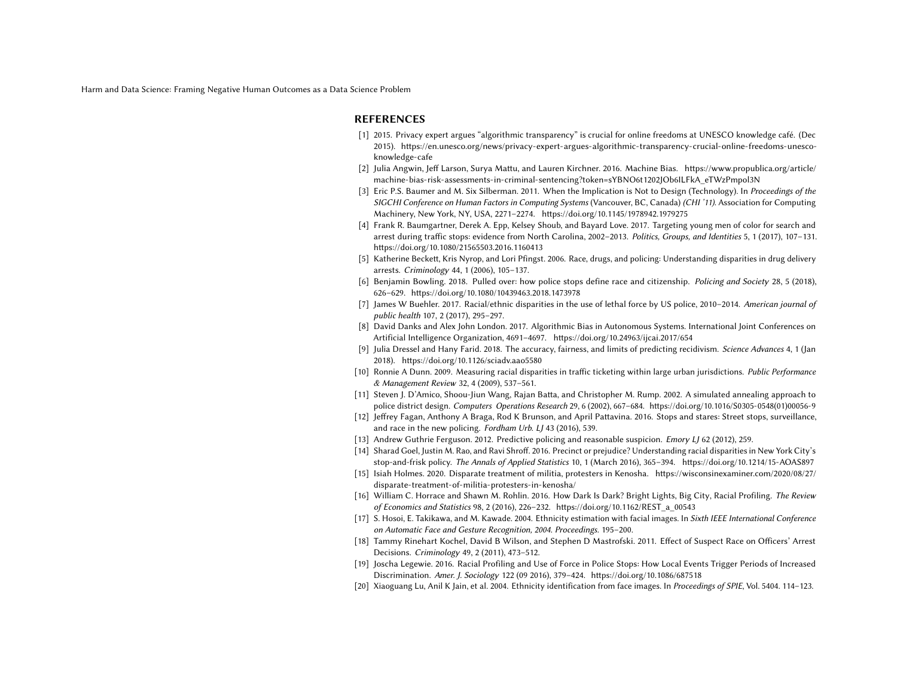Harm and Data Science: Framing Negative Human Outcomes as a Data Science Problem

#### REFERENCES

- <span id="page-4-16"></span>[1] 2015. Privacy expert argues "algorithmic transparency" is crucial for online freedoms at UNESCO knowledge café. (Dec 2015). [https://en.unesco.org/news/privacy-expert-argues-algorithmic-transparency-crucial-online-freedoms-unesco](https://en.unesco.org/news/privacy-expert-argues-algorithmic-transparency-crucial-online-freedoms-unesco-knowledge-cafe)[knowledge-cafe](https://en.unesco.org/news/privacy-expert-argues-algorithmic-transparency-crucial-online-freedoms-unesco-knowledge-cafe)
- <span id="page-4-9"></span>[2] Julia Angwin, Jeff Larson, Surya Mattu, and Lauren Kirchner. 2016. Machine Bias. [https://www.propublica.org/article/](https://www.propublica.org/article/machine-bias-risk-assessments-in-criminal-sentencing?token=sYBNO6t1202JOb6ILFkA_eTWzPmpol3N) [machine-bias-risk-assessments-in-criminal-sentencing?token=sYBNO6t1202JOb6ILFkA\\_eTWzPmpol3N](https://www.propublica.org/article/machine-bias-risk-assessments-in-criminal-sentencing?token=sYBNO6t1202JOb6ILFkA_eTWzPmpol3N)
- <span id="page-4-17"></span>[3] Eric P.S. Baumer and M. Six Silberman. 2011. When the Implication is Not to Design (Technology). In Proceedings of the SIGCHI Conference on Human Factors in Computing Systems (Vancouver, BC, Canada) (CHI '11). Association for Computing Machinery, New York, NY, USA, 2271–2274.<https://doi.org/10.1145/1978942.1979275>
- <span id="page-4-1"></span>[4] Frank R. Baumgartner, Derek A. Epp, Kelsey Shoub, and Bayard Love. 2017. Targeting young men of color for search and arrest during traffic stops: evidence from North Carolina, 2002–2013. Politics, Groups, and Identities 5, 1 (2017), 107–131. <https://doi.org/10.1080/21565503.2016.1160413>
- [5] Katherine Beckett, Kris Nyrop, and Lori Pfingst. 2006. Race, drugs, and policing: Understanding disparities in drug delivery arrests. Criminology 44, 1 (2006), 105–137.
- [6] Benjamin Bowling. 2018. Pulled over: how police stops define race and citizenship. Policing and Society 28, 5 (2018), 626–629.<https://doi.org/10.1080/10439463.2018.1473978>
- <span id="page-4-2"></span>[7] James W Buehler. 2017. Racial/ethnic disparities in the use of lethal force by US police, 2010-2014. American journal of public health 107, 2 (2017), 295–297.
- <span id="page-4-13"></span>[8] David Danks and Alex John London. 2017. Algorithmic Bias in Autonomous Systems. International Joint Conferences on Artificial Intelligence Organization, 4691–4697.<https://doi.org/10.24963/ijcai.2017/654>
- <span id="page-4-10"></span>[9] Julia Dressel and Hany Farid. 2018. The accuracy, fairness, and limits of predicting recidivism. Science Advances 4, 1 (Jan 2018).<https://doi.org/10.1126/sciadv.aao5580>
- <span id="page-4-3"></span>[10] Ronnie A Dunn. 2009. Measuring racial disparities in traffic ticketing within large urban jurisdictions. Public Performance & Management Review 32, 4 (2009), 537–561.
- <span id="page-4-11"></span>[11] Steven J. D'Amico, Shoou-Jiun Wang, Rajan Batta, and Christopher M. Rump. 2002. A simulated annealing approach to police district design. Computers Operations Research 29, 6 (2002), 667–684. [https://doi.org/10.1016/S0305-0548\(01\)00056-9](https://doi.org/10.1016/S0305-0548(01)00056-9)
- <span id="page-4-4"></span>[12] Jeffrey Fagan, Anthony A Braga, Rod K Brunson, and April Pattavina. 2016. Stops and stares: Street stops, surveillance, and race in the new policing. Fordham Urb. LJ 43 (2016), 539.
- <span id="page-4-0"></span>[13] Andrew Guthrie Ferguson. 2012. Predictive policing and reasonable suspicion. *Emory LJ* 62 (2012), 259.
- <span id="page-4-5"></span>[14] Sharad Goel, Justin M. Rao, and Ravi Shroff. 2016. Precinct or prejudice? Understanding racial disparities in New York City's stop-and-frisk policy. The Annals of Applied Statistics 10, 1 (March 2016), 365–394.<https://doi.org/10.1214/15-AOAS897>
- <span id="page-4-12"></span>[15] Isiah Holmes. 2020. Disparate treatment of militia, protesters in Kenosha. [https://wisconsinexaminer.com/2020/08/27/](https://wisconsinexaminer.com/2020/08/27/disparate-treatment-of-militia-protesters-in-kenosha/) [disparate-treatment-of-militia-protesters-in-kenosha/](https://wisconsinexaminer.com/2020/08/27/disparate-treatment-of-militia-protesters-in-kenosha/)
- <span id="page-4-6"></span>[16] William C. Horrace and Shawn M. Rohlin. 2016. How Dark Is Dark? Bright Lights, Big City, Racial Profiling. The Review of Economics and Statistics 98, 2 (2016), 226–232. [https://doi.org/10.1162/REST\\_a\\_00543](https://doi.org/10.1162/REST_a_00543)
- <span id="page-4-14"></span>[17] S. Hosoi, E. Takikawa, and M. Kawade. 2004. Ethnicity estimation with facial images. In Sixth IEEE International Conference on Automatic Face and Gesture Recognition, 2004. Proceedings. 195–200.
- <span id="page-4-7"></span>[18] Tammy Rinehart Kochel, David B Wilson, and Stephen D Mastrofski. 2011. Effect of Suspect Race on Officers' Arrest Decisions. Criminology 49, 2 (2011), 473–512.
- <span id="page-4-8"></span>[19] Joscha Legewie. 2016. Racial Profiling and Use of Force in Police Stops: How Local Events Trigger Periods of Increased Discrimination. Amer. J. Sociology 122 (09 2016), 379–424.<https://doi.org/10.1086/687518>
- <span id="page-4-15"></span>[20] Xiaoguang Lu, Anil K Jain, et al. 2004. Ethnicity identification from face images. In Proceedings of SPIE, Vol. 5404. 114-123.